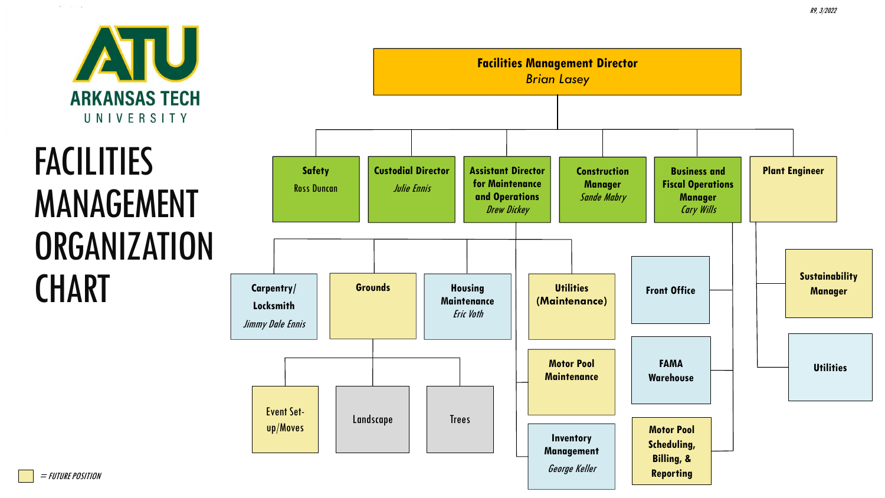

 $\alpha = -\alpha = -\pi$ 

# **FACILITIES** MANAGEMENT **ORGANIZATION CHART**



R9, 3/2022

= FUTURE POSITION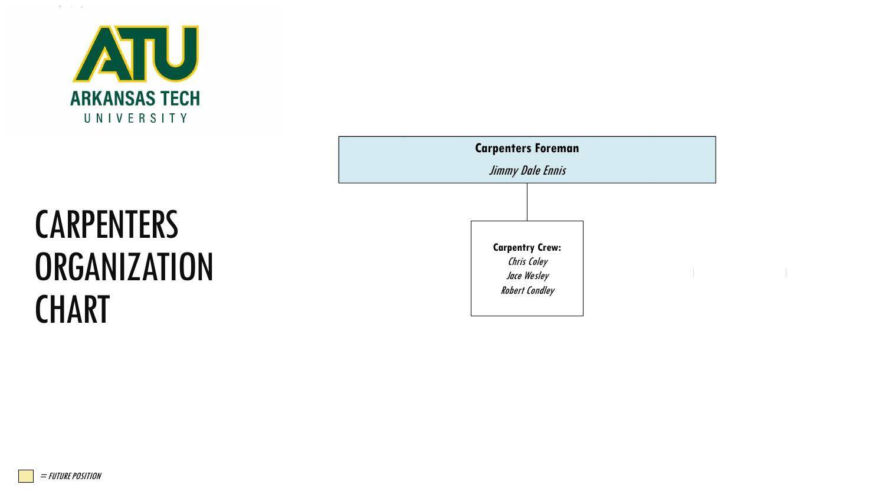

**CARPENTERS** 

**ORGANIZATION** 



#### = FUTURE POSITION

**CHART** 

 $\alpha = -\alpha = -\alpha$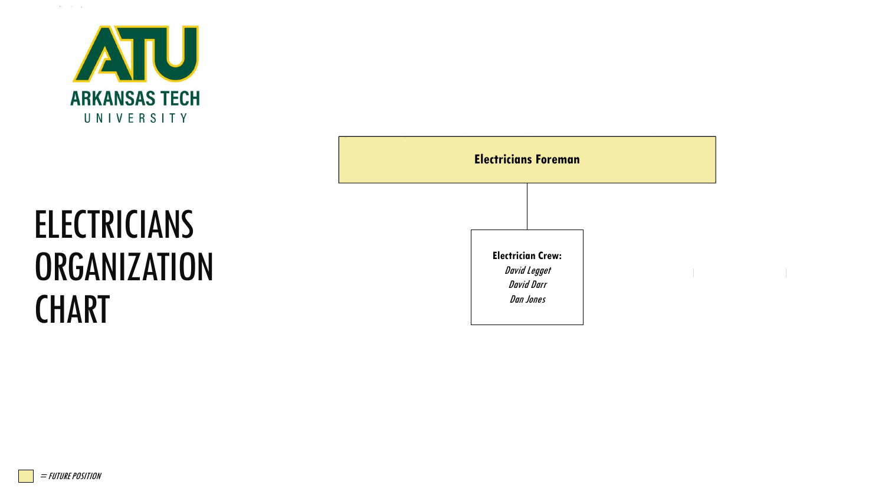

 $\Omega_{\rm C}=-3\%$  . <br> In

| <b>Electricians Foreman</b> |                                                                            |  |  |
|-----------------------------|----------------------------------------------------------------------------|--|--|
|                             | <b>Electrician Crew:</b><br>David Legget<br><b>David Darr</b><br>Dan Jones |  |  |

# **ELECTRICIANS ORGANIZATION CHART**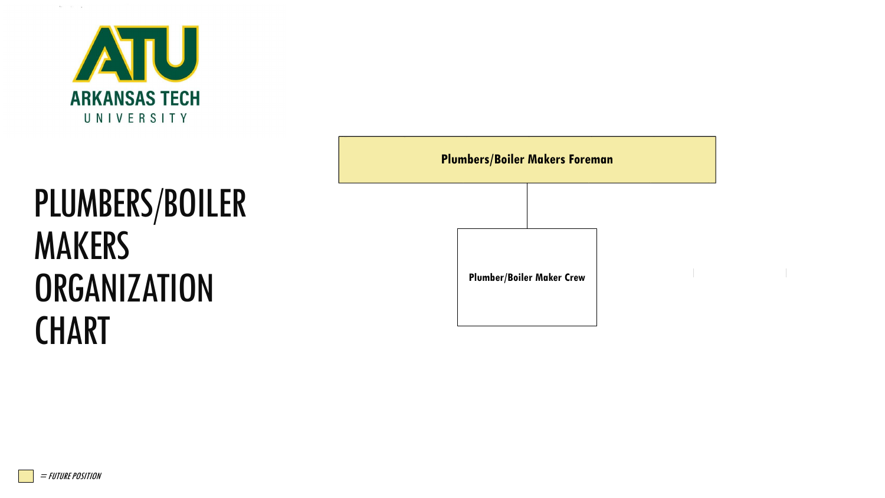

# PLUMBERS/BOILER MAKERS **ORGANIZATION CHART**

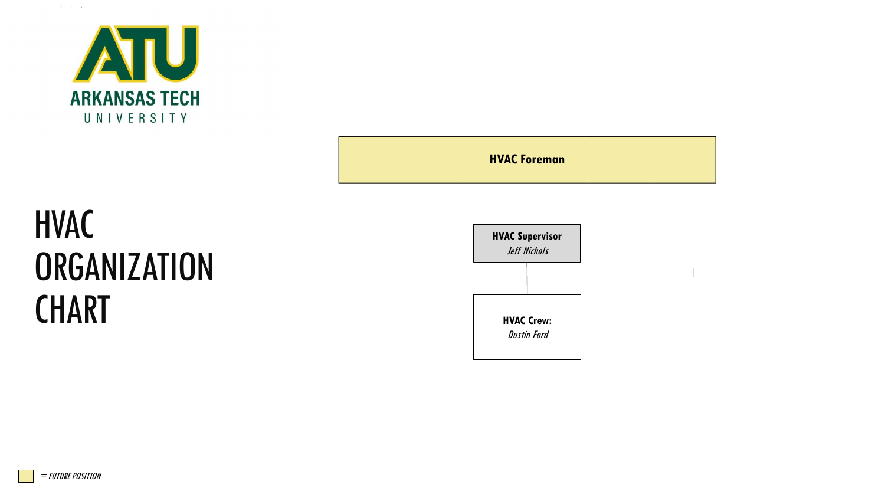

 $\alpha_1,\ldots,\alpha_n\in\mathbb{R}$ 



#### HVAC **ORGANIZATION CHART**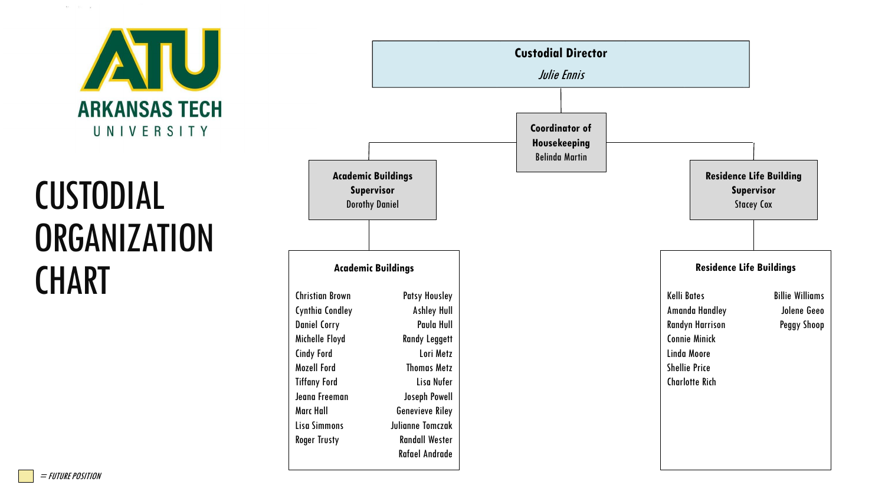

# CUSTODIAL **ORGANIZATION CHART**

|                                                                                                                                                                                                                                                |                                                                                                                                                                                                                                                           | <b>Custodial Director</b><br>Julie Ennis                       |                                                                                                                                                        |                                                                   |
|------------------------------------------------------------------------------------------------------------------------------------------------------------------------------------------------------------------------------------------------|-----------------------------------------------------------------------------------------------------------------------------------------------------------------------------------------------------------------------------------------------------------|----------------------------------------------------------------|--------------------------------------------------------------------------------------------------------------------------------------------------------|-------------------------------------------------------------------|
|                                                                                                                                                                                                                                                | <b>Academic Buildings</b><br>Supervisor<br><b>Dorothy Daniel</b>                                                                                                                                                                                          | <b>Coordinator of</b><br>Housekeeping<br><b>Belinda Martin</b> |                                                                                                                                                        | <b>Residence Life Building</b><br>Supervisor<br><b>Stacey Cox</b> |
|                                                                                                                                                                                                                                                | <b>Academic Buildings</b>                                                                                                                                                                                                                                 |                                                                | <b>Residence Life Buildings</b>                                                                                                                        |                                                                   |
| <b>Christian Brown</b><br><b>Cynthia Condley</b><br><b>Daniel Corry</b><br>Michelle Floyd<br><b>Cindy Ford</b><br><b>Mozell Ford</b><br><b>Tiffany Ford</b><br>Jeana Freeman<br><b>Marc Hall</b><br><b>Lisa Simmons</b><br><b>Roger Trusty</b> | <b>Patsy Housley</b><br><b>Ashley Hull</b><br>Paula Hull<br><b>Randy Leggett</b><br>Lori Metz<br><b>Thomas Metz</b><br>Lisa Nufer<br>Joseph Powell<br><b>Genevieve Riley</b><br><b>Julianne Tomczak</b><br><b>Randall Wester</b><br><b>Rafael Andrade</b> |                                                                | <b>Kelli Bates</b><br>Amanda Handley<br><b>Randyn Harrison</b><br><b>Connie Minick</b><br>Linda Moore<br><b>Shellie Price</b><br><b>Charlotte Rich</b> | <b>Billie Williams</b><br>Jolene Geeo<br><b>Peggy Shoop</b>       |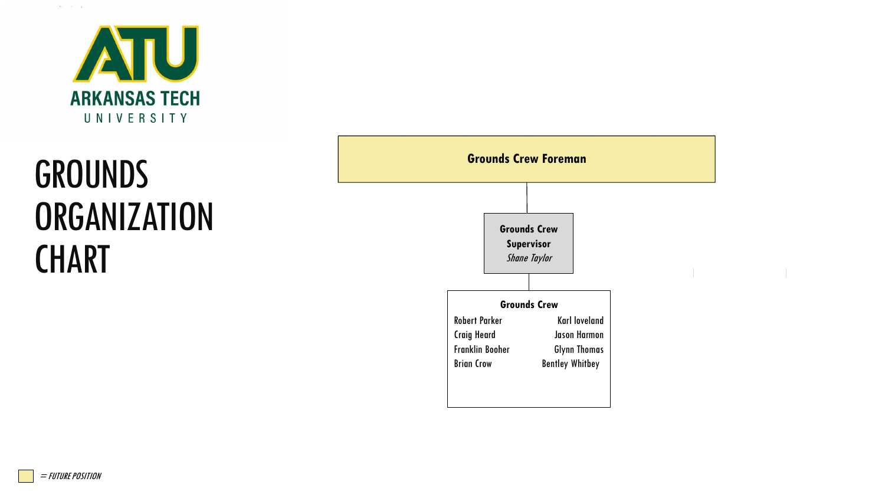

# **GROUNDS ORGANIZATION CHART**

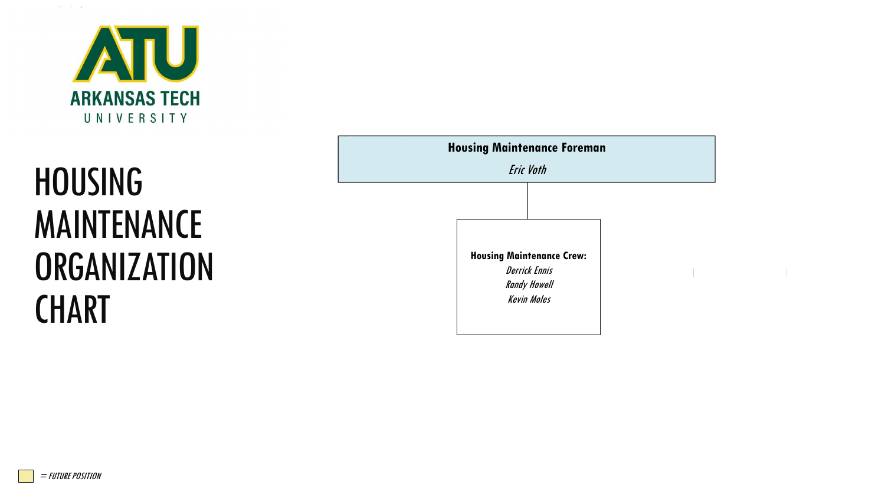

 $\alpha_1,\ldots,\alpha_n\in\mathbb{R}$ 

# HOUSING MAINTENANCE **ORGANIZATION CHART**

| <b>Housing Maintenance Foreman</b><br><b>Eric Voth</b> |                                                                                                       |  |  |  |  |
|--------------------------------------------------------|-------------------------------------------------------------------------------------------------------|--|--|--|--|
|                                                        |                                                                                                       |  |  |  |  |
|                                                        | <b>Housing Maintenance Crew:</b><br><b>Derrick Ennis</b><br><b>Randy Howell</b><br><b>Kevin Moles</b> |  |  |  |  |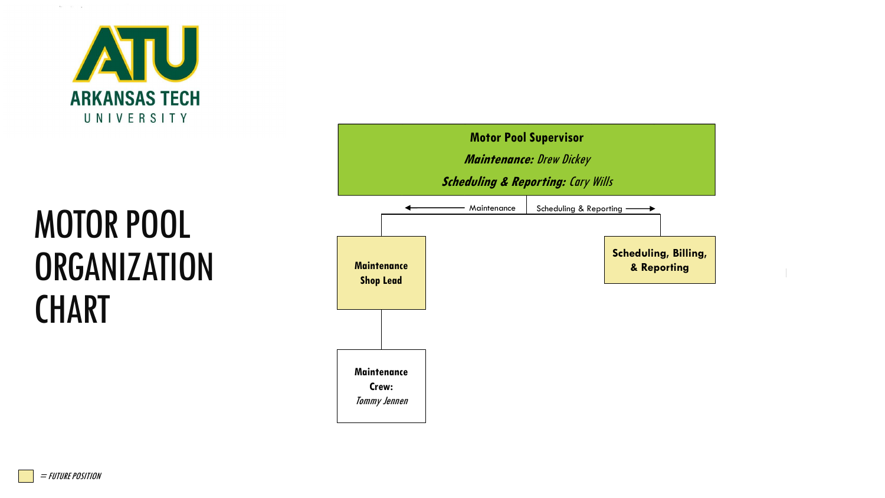

# MOTOR POOL **ORGANIZATION CHART**



= FUTURE POSITION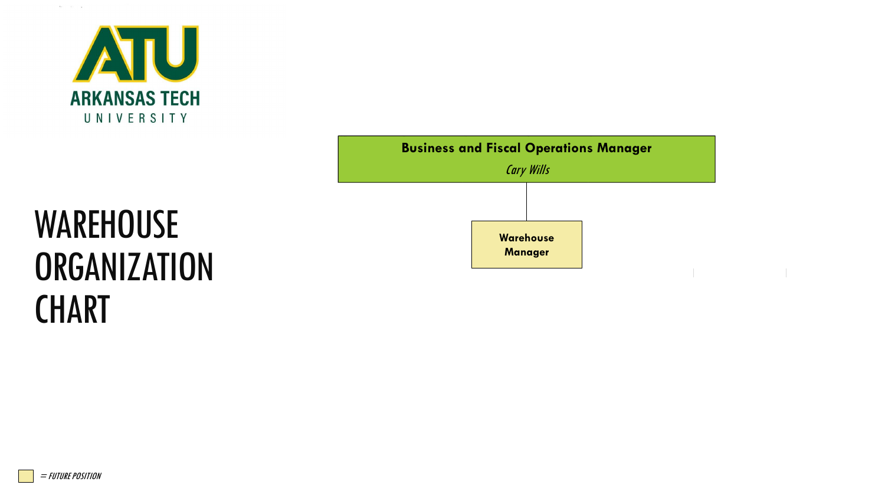

 $\alpha_1,\ldots,\alpha_n\in\mathbb{R}$ 



# **WAREHOUSE ORGANIZATION CHART**